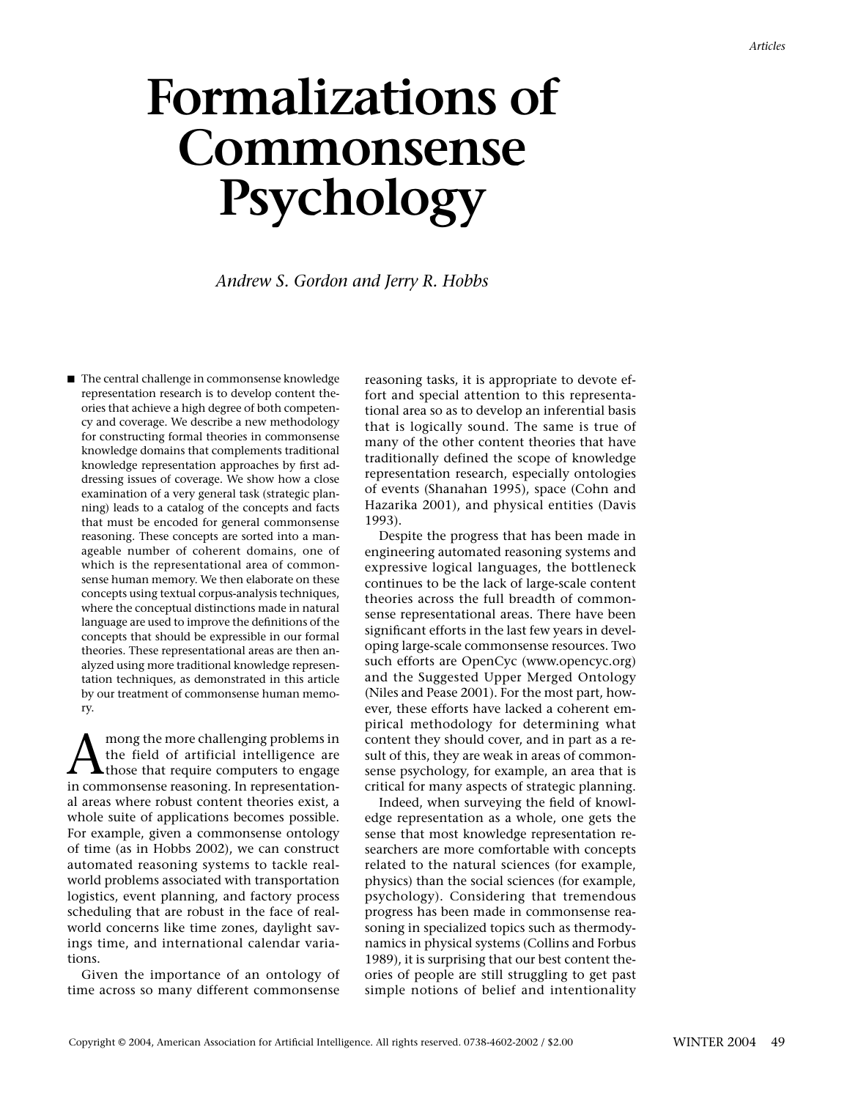# **Formalizations of Commonsense Psychology**

*Andrew S. Gordon and Jerry R. Hobbs*

■ The central challenge in commonsense knowledge representation research is to develop content theories that achieve a high degree of both competency and coverage. We describe a new methodology for constructing formal theories in commonsense knowledge domains that complements traditional knowledge representation approaches by first addressing issues of coverage. We show how a close examination of a very general task (strategic planning) leads to a catalog of the concepts and facts that must be encoded for general commonsense reasoning. These concepts are sorted into a manageable number of coherent domains, one of which is the representational area of commonsense human memory. We then elaborate on these concepts using textual corpus-analysis techniques, where the conceptual distinctions made in natural language are used to improve the definitions of the concepts that should be expressible in our formal theories. These representational areas are then analyzed using more traditional knowledge representation techniques, as demonstrated in this article by our treatment of commonsense human memory.

A mong the more challenging problems in<br>those that require computers to engage<br>in commonwealing to a propose that interests the field of artificial intelligence are in commonsense reasoning. In representational areas where robust content theories exist, a whole suite of applications becomes possible. For example, given a commonsense ontology of time (as in Hobbs 2002), we can construct automated reasoning systems to tackle realworld problems associated with transportation logistics, event planning, and factory process scheduling that are robust in the face of realworld concerns like time zones, daylight savings time, and international calendar variations.

Given the importance of an ontology of time across so many different commonsense reasoning tasks, it is appropriate to devote effort and special attention to this representational area so as to develop an inferential basis that is logically sound. The same is true of many of the other content theories that have traditionally defined the scope of knowledge representation research, especially ontologies of events (Shanahan 1995), space (Cohn and Hazarika 2001), and physical entities (Davis 1993).

Despite the progress that has been made in engineering automated reasoning systems and expressive logical languages, the bottleneck continues to be the lack of large-scale content theories across the full breadth of commonsense representational areas. There have been significant efforts in the last few years in developing large-scale commonsense resources. Two such efforts are OpenCyc (www.opencyc.org) and the Suggested Upper Merged Ontology (Niles and Pease 2001). For the most part, however, these efforts have lacked a coherent empirical methodology for determining what content they should cover, and in part as a result of this, they are weak in areas of commonsense psychology, for example, an area that is critical for many aspects of strategic planning.

Indeed, when surveying the field of knowledge representation as a whole, one gets the sense that most knowledge representation researchers are more comfortable with concepts related to the natural sciences (for example, physics) than the social sciences (for example, psychology). Considering that tremendous progress has been made in commonsense reasoning in specialized topics such as thermodynamics in physical systems (Collins and Forbus 1989), it is surprising that our best content theories of people are still struggling to get past simple notions of belief and intentionality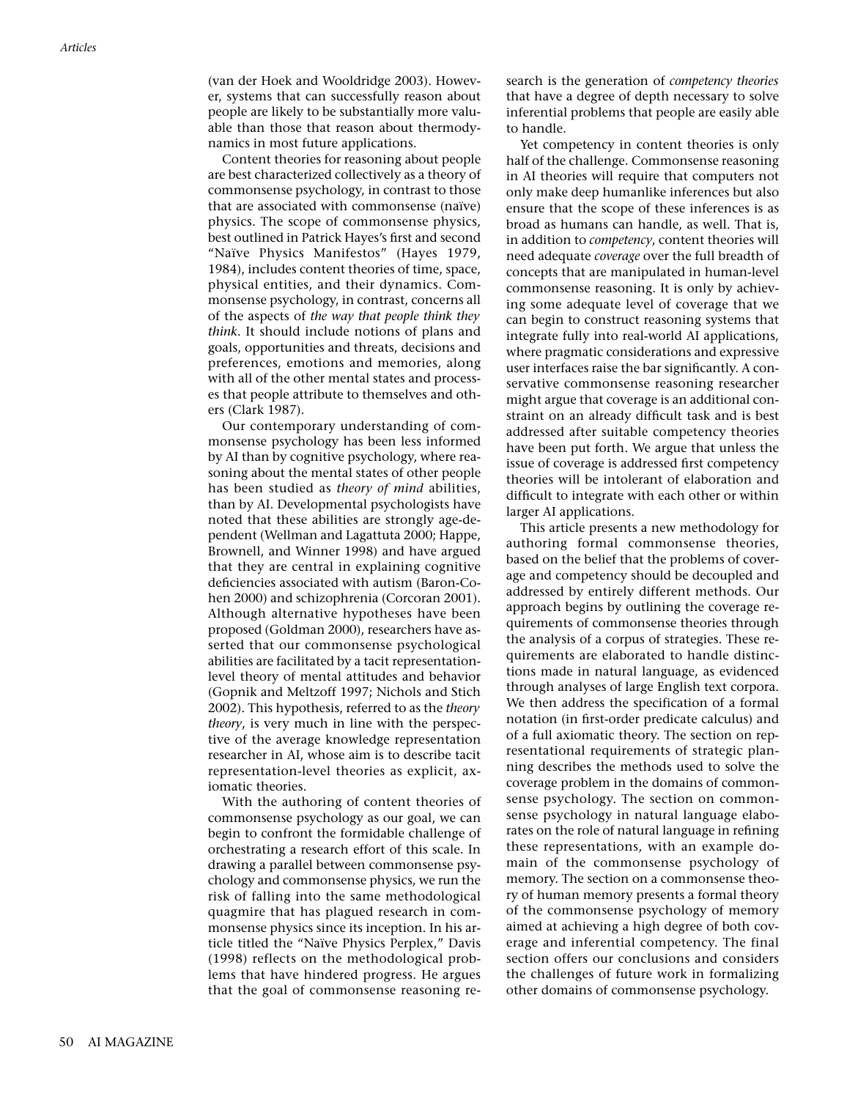(van der Hoek and Wooldridge 2003). However, systems that can successfully reason about people are likely to be substantially more valuable than those that reason about thermodynamics in most future applications.

Content theories for reasoning about people are best characterized collectively as a theory of commonsense psychology, in contrast to those that are associated with commonsense (naïve) physics. The scope of commonsense physics, best outlined in Patrick Hayes's first and second "Naïve Physics Manifestos" (Hayes 1979, 1984), includes content theories of time, space, physical entities, and their dynamics. Commonsense psychology, in contrast, concerns all of the aspects of *the way that people think they think*. It should include notions of plans and goals, opportunities and threats, decisions and preferences, emotions and memories, along with all of the other mental states and processes that people attribute to themselves and others (Clark 1987).

Our contemporary understanding of commonsense psychology has been less informed by AI than by cognitive psychology, where reasoning about the mental states of other people has been studied as *theory of mind* abilities, than by AI. Developmental psychologists have noted that these abilities are strongly age-dependent (Wellman and Lagattuta 2000; Happe, Brownell, and Winner 1998) and have argued that they are central in explaining cognitive deficiencies associated with autism (Baron-Cohen 2000) and schizophrenia (Corcoran 2001). Although alternative hypotheses have been proposed (Goldman 2000), researchers have asserted that our commonsense psychological abilities are facilitated by a tacit representationlevel theory of mental attitudes and behavior (Gopnik and Meltzoff 1997; Nichols and Stich 2002). This hypothesis, referred to as the *theory theory*, is very much in line with the perspective of the average knowledge representation researcher in AI, whose aim is to describe tacit representation-level theories as explicit, axiomatic theories.

With the authoring of content theories of commonsense psychology as our goal, we can begin to confront the formidable challenge of orchestrating a research effort of this scale. In drawing a parallel between commonsense psychology and commonsense physics, we run the risk of falling into the same methodological quagmire that has plagued research in commonsense physics since its inception. In his article titled the "Naïve Physics Perplex," Davis (1998) reflects on the methodological problems that have hindered progress. He argues that the goal of commonsense reasoning research is the generation of *competency theories* that have a degree of depth necessary to solve inferential problems that people are easily able to handle.

Yet competency in content theories is only half of the challenge. Commonsense reasoning in AI theories will require that computers not only make deep humanlike inferences but also ensure that the scope of these inferences is as broad as humans can handle, as well. That is, in addition to *competency*, content theories will need adequate *coverage* over the full breadth of concepts that are manipulated in human-level commonsense reasoning. It is only by achieving some adequate level of coverage that we can begin to construct reasoning systems that integrate fully into real-world AI applications, where pragmatic considerations and expressive user interfaces raise the bar significantly. A conservative commonsense reasoning researcher might argue that coverage is an additional constraint on an already difficult task and is best addressed after suitable competency theories have been put forth. We argue that unless the issue of coverage is addressed first competency theories will be intolerant of elaboration and difficult to integrate with each other or within larger AI applications.

This article presents a new methodology for authoring formal commonsense theories, based on the belief that the problems of coverage and competency should be decoupled and addressed by entirely different methods. Our approach begins by outlining the coverage requirements of commonsense theories through the analysis of a corpus of strategies. These requirements are elaborated to handle distinctions made in natural language, as evidenced through analyses of large English text corpora. We then address the specification of a formal notation (in first-order predicate calculus) and of a full axiomatic theory. The section on representational requirements of strategic planning describes the methods used to solve the coverage problem in the domains of commonsense psychology. The section on commonsense psychology in natural language elaborates on the role of natural language in refining these representations, with an example domain of the commonsense psychology of memory. The section on a commonsense theory of human memory presents a formal theory of the commonsense psychology of memory aimed at achieving a high degree of both coverage and inferential competency. The final section offers our conclusions and considers the challenges of future work in formalizing other domains of commonsense psychology.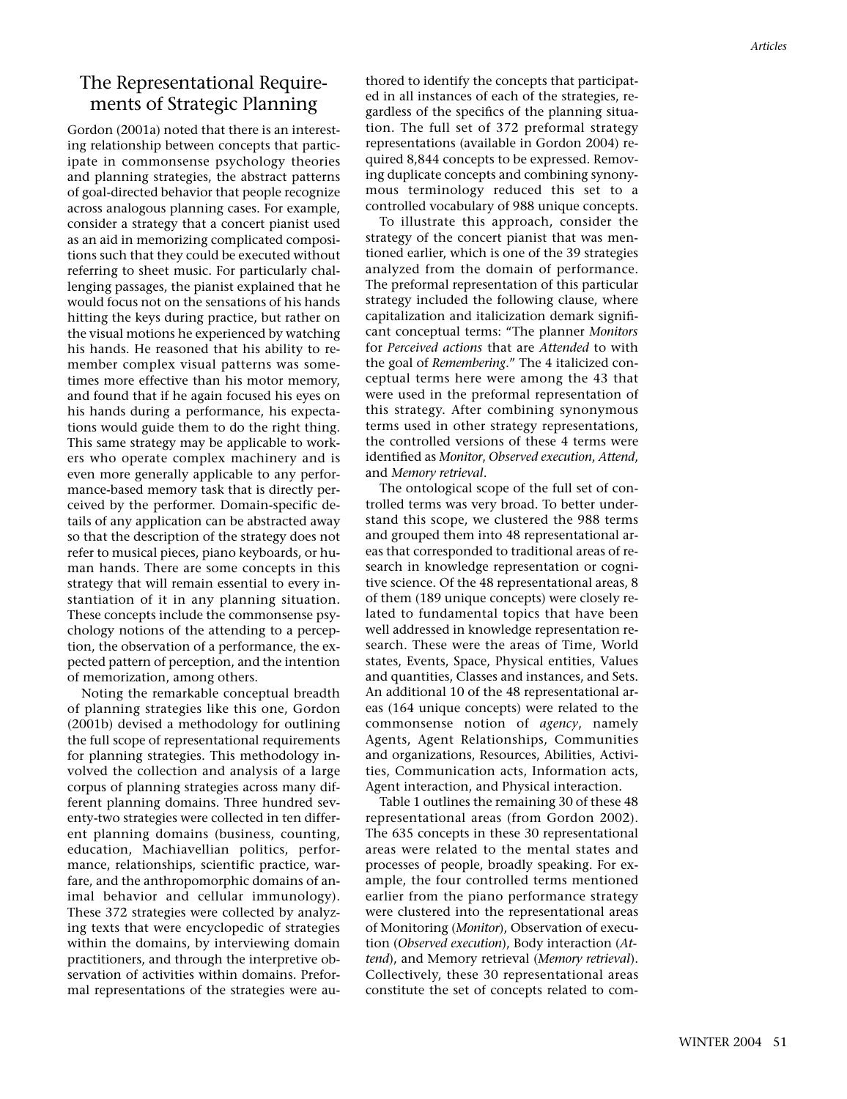# The Representational Requirements of Strategic Planning

Gordon (2001a) noted that there is an interesting relationship between concepts that participate in commonsense psychology theories and planning strategies, the abstract patterns of goal-directed behavior that people recognize across analogous planning cases. For example, consider a strategy that a concert pianist used as an aid in memorizing complicated compositions such that they could be executed without referring to sheet music. For particularly challenging passages, the pianist explained that he would focus not on the sensations of his hands hitting the keys during practice, but rather on the visual motions he experienced by watching his hands. He reasoned that his ability to remember complex visual patterns was sometimes more effective than his motor memory, and found that if he again focused his eyes on his hands during a performance, his expectations would guide them to do the right thing. This same strategy may be applicable to workers who operate complex machinery and is even more generally applicable to any performance-based memory task that is directly perceived by the performer. Domain-specific details of any application can be abstracted away so that the description of the strategy does not refer to musical pieces, piano keyboards, or human hands. There are some concepts in this strategy that will remain essential to every instantiation of it in any planning situation. These concepts include the commonsense psychology notions of the attending to a perception, the observation of a performance, the expected pattern of perception, and the intention of memorization, among others.

Noting the remarkable conceptual breadth of planning strategies like this one, Gordon (2001b) devised a methodology for outlining the full scope of representational requirements for planning strategies. This methodology involved the collection and analysis of a large corpus of planning strategies across many different planning domains. Three hundred seventy-two strategies were collected in ten different planning domains (business, counting, education, Machiavellian politics, performance, relationships, scientific practice, warfare, and the anthropomorphic domains of animal behavior and cellular immunology). These 372 strategies were collected by analyzing texts that were encyclopedic of strategies within the domains, by interviewing domain practitioners, and through the interpretive observation of activities within domains. Preformal representations of the strategies were authored to identify the concepts that participated in all instances of each of the strategies, regardless of the specifics of the planning situation. The full set of 372 preformal strategy representations (available in Gordon 2004) required 8,844 concepts to be expressed. Removing duplicate concepts and combining synonymous terminology reduced this set to a controlled vocabulary of 988 unique concepts.

To illustrate this approach, consider the strategy of the concert pianist that was mentioned earlier, which is one of the 39 strategies analyzed from the domain of performance. The preformal representation of this particular strategy included the following clause, where capitalization and italicization demark significant conceptual terms: "The planner *Monitors* for *Perceived actions* that are *Attended* to with the goal of *Remembering*." The 4 italicized conceptual terms here were among the 43 that were used in the preformal representation of this strategy. After combining synonymous terms used in other strategy representations, the controlled versions of these 4 terms were identified as *Monitor*, *Observed execution*, *Attend*, and *Memory retrieval*.

The ontological scope of the full set of controlled terms was very broad. To better understand this scope, we clustered the 988 terms and grouped them into 48 representational areas that corresponded to traditional areas of research in knowledge representation or cognitive science. Of the 48 representational areas, 8 of them (189 unique concepts) were closely related to fundamental topics that have been well addressed in knowledge representation research. These were the areas of Time, World states, Events, Space, Physical entities, Values and quantities, Classes and instances, and Sets. An additional 10 of the 48 representational areas (164 unique concepts) were related to the commonsense notion of *agency*, namely Agents, Agent Relationships, Communities and organizations, Resources, Abilities, Activities, Communication acts, Information acts, Agent interaction, and Physical interaction.

Table 1 outlines the remaining 30 of these 48 representational areas (from Gordon 2002). The 635 concepts in these 30 representational areas were related to the mental states and processes of people, broadly speaking. For example, the four controlled terms mentioned earlier from the piano performance strategy were clustered into the representational areas of Monitoring (*Monitor*), Observation of execution (*Observed execution*), Body interaction (*Attend*), and Memory retrieval (*Memory retrieval*). Collectively, these 30 representational areas constitute the set of concepts related to com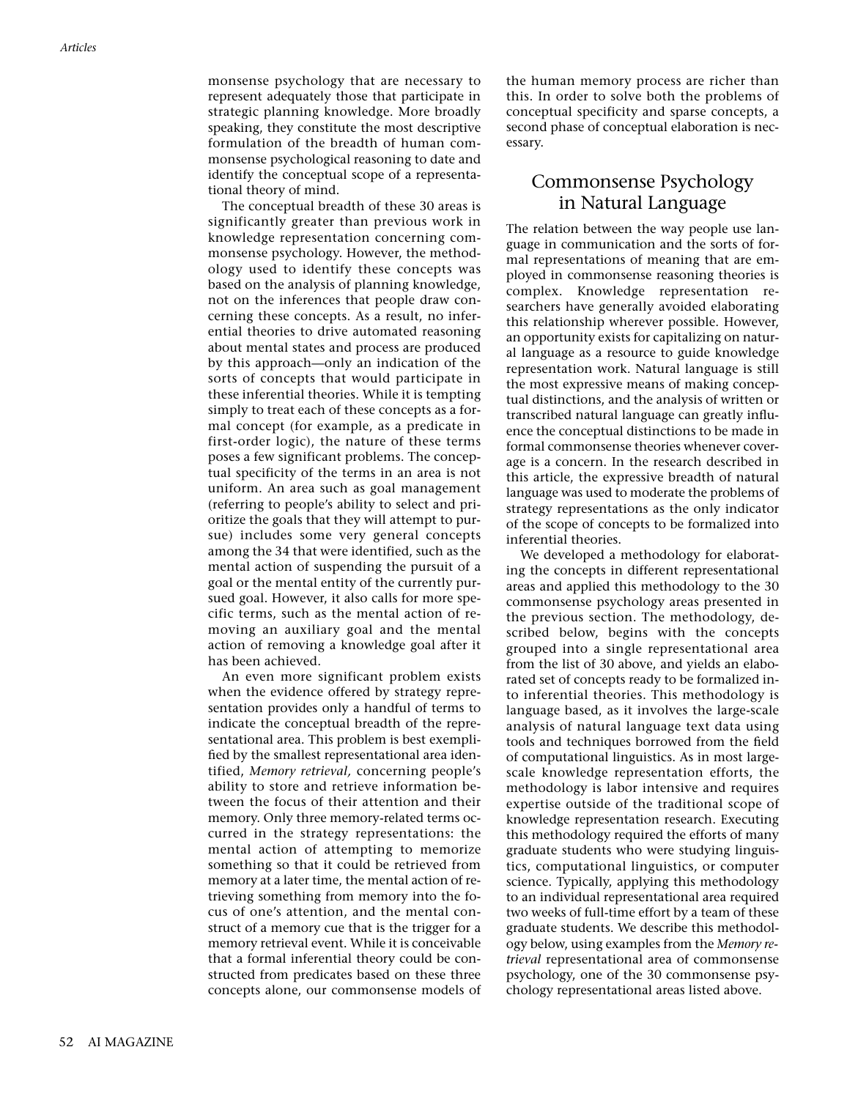monsense psychology that are necessary to represent adequately those that participate in strategic planning knowledge. More broadly speaking, they constitute the most descriptive formulation of the breadth of human commonsense psychological reasoning to date and identify the conceptual scope of a representational theory of mind.

The conceptual breadth of these 30 areas is significantly greater than previous work in knowledge representation concerning commonsense psychology. However, the methodology used to identify these concepts was based on the analysis of planning knowledge, not on the inferences that people draw concerning these concepts. As a result, no inferential theories to drive automated reasoning about mental states and process are produced by this approach—only an indication of the sorts of concepts that would participate in these inferential theories. While it is tempting simply to treat each of these concepts as a formal concept (for example, as a predicate in first-order logic), the nature of these terms poses a few significant problems. The conceptual specificity of the terms in an area is not uniform. An area such as goal management (referring to people's ability to select and prioritize the goals that they will attempt to pursue) includes some very general concepts among the 34 that were identified, such as the mental action of suspending the pursuit of a goal or the mental entity of the currently pursued goal. However, it also calls for more specific terms, such as the mental action of removing an auxiliary goal and the mental action of removing a knowledge goal after it has been achieved.

An even more significant problem exists when the evidence offered by strategy representation provides only a handful of terms to indicate the conceptual breadth of the representational area. This problem is best exemplified by the smallest representational area identified, *Memory retrieval,* concerning people's ability to store and retrieve information between the focus of their attention and their memory. Only three memory-related terms occurred in the strategy representations: the mental action of attempting to memorize something so that it could be retrieved from memory at a later time, the mental action of retrieving something from memory into the focus of one's attention, and the mental construct of a memory cue that is the trigger for a memory retrieval event. While it is conceivable that a formal inferential theory could be constructed from predicates based on these three concepts alone, our commonsense models of the human memory process are richer than this. In order to solve both the problems of conceptual specificity and sparse concepts, a second phase of conceptual elaboration is necessary.

# Commonsense Psychology in Natural Language

The relation between the way people use language in communication and the sorts of formal representations of meaning that are employed in commonsense reasoning theories is complex. Knowledge representation researchers have generally avoided elaborating this relationship wherever possible. However, an opportunity exists for capitalizing on natural language as a resource to guide knowledge representation work. Natural language is still the most expressive means of making conceptual distinctions, and the analysis of written or transcribed natural language can greatly influence the conceptual distinctions to be made in formal commonsense theories whenever coverage is a concern. In the research described in this article, the expressive breadth of natural language was used to moderate the problems of strategy representations as the only indicator of the scope of concepts to be formalized into inferential theories.

We developed a methodology for elaborating the concepts in different representational areas and applied this methodology to the 30 commonsense psychology areas presented in the previous section. The methodology, described below, begins with the concepts grouped into a single representational area from the list of 30 above, and yields an elaborated set of concepts ready to be formalized into inferential theories. This methodology is language based, as it involves the large-scale analysis of natural language text data using tools and techniques borrowed from the field of computational linguistics. As in most largescale knowledge representation efforts, the methodology is labor intensive and requires expertise outside of the traditional scope of knowledge representation research. Executing this methodology required the efforts of many graduate students who were studying linguistics, computational linguistics, or computer science. Typically, applying this methodology to an individual representational area required two weeks of full-time effort by a team of these graduate students. We describe this methodology below, using examples from the *Memory retrieval* representational area of commonsense psychology, one of the 30 commonsense psychology representational areas listed above.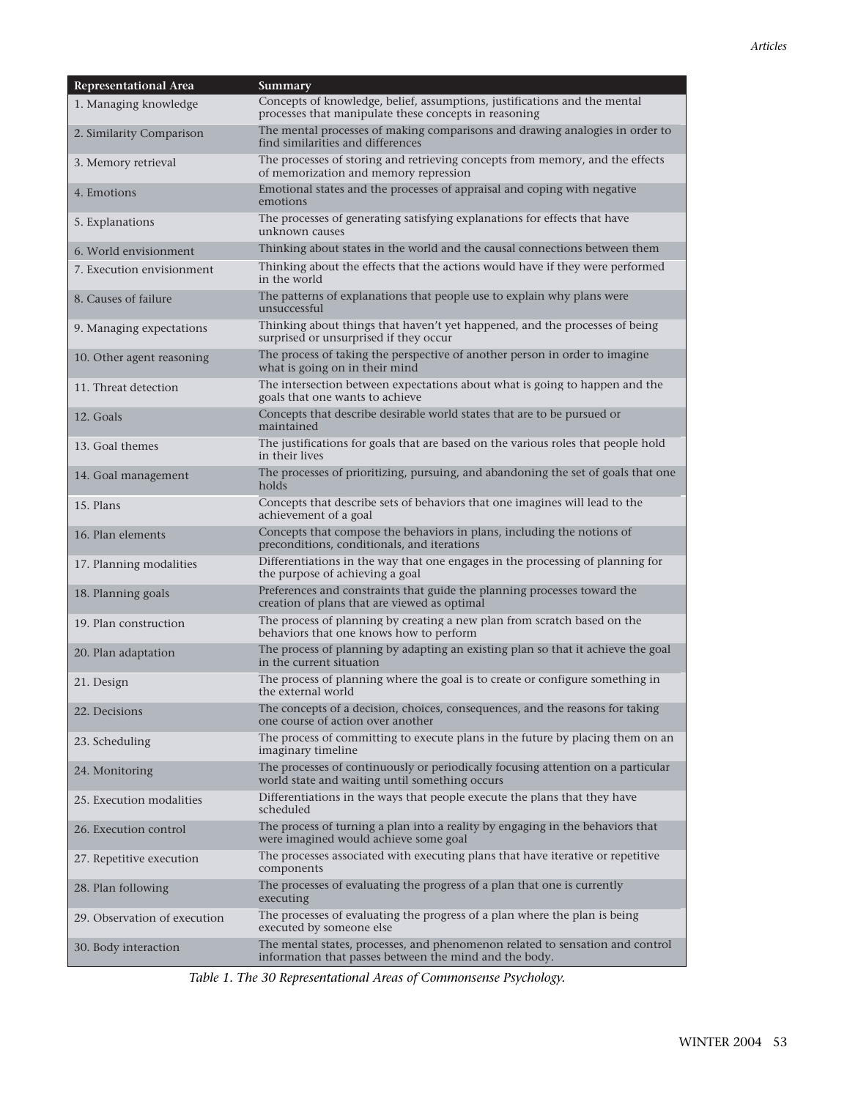| <b>Representational Area</b> | Summary                                                                                                                                 |
|------------------------------|-----------------------------------------------------------------------------------------------------------------------------------------|
| 1. Managing knowledge        | Concepts of knowledge, belief, assumptions, justifications and the mental<br>processes that manipulate these concepts in reasoning      |
| 2. Similarity Comparison     | The mental processes of making comparisons and drawing analogies in order to<br>find similarities and differences                       |
| 3. Memory retrieval          | The processes of storing and retrieving concepts from memory, and the effects<br>of memorization and memory repression                  |
| 4. Emotions                  | Emotional states and the processes of appraisal and coping with negative<br>emotions                                                    |
| 5. Explanations              | The processes of generating satisfying explanations for effects that have<br>unknown causes                                             |
| 6. World envisionment        | Thinking about states in the world and the causal connections between them                                                              |
| 7. Execution envisionment    | Thinking about the effects that the actions would have if they were performed<br>in the world                                           |
| 8. Causes of failure         | The patterns of explanations that people use to explain why plans were<br>unsuccessful                                                  |
| 9. Managing expectations     | Thinking about things that haven't yet happened, and the processes of being<br>surprised or unsurprised if they occur                   |
| 10. Other agent reasoning    | The process of taking the perspective of another person in order to imagine<br>what is going on in their mind                           |
| 11. Threat detection         | The intersection between expectations about what is going to happen and the<br>goals that one wants to achieve                          |
| 12. Goals                    | Concepts that describe desirable world states that are to be pursued or<br>maintained                                                   |
| 13. Goal themes              | The justifications for goals that are based on the various roles that people hold<br>in their lives                                     |
| 14. Goal management          | The processes of prioritizing, pursuing, and abandoning the set of goals that one<br>holds                                              |
| 15. Plans                    | Concepts that describe sets of behaviors that one imagines will lead to the<br>achievement of a goal                                    |
| 16. Plan elements            | Concepts that compose the behaviors in plans, including the notions of<br>preconditions, conditionals, and iterations                   |
| 17. Planning modalities      | Differentiations in the way that one engages in the processing of planning for<br>the purpose of achieving a goal                       |
| 18. Planning goals           | Preferences and constraints that guide the planning processes toward the<br>creation of plans that are viewed as optimal                |
| 19. Plan construction        | The process of planning by creating a new plan from scratch based on the<br>behaviors that one knows how to perform                     |
| 20. Plan adaptation          | The process of planning by adapting an existing plan so that it achieve the goal<br>in the current situation                            |
| 21. Design                   | The process of planning where the goal is to create or configure something in<br>the external world                                     |
| 22. Decisions                | The concepts of a decision, choices, consequences, and the reasons for taking<br>one course of action over another                      |
| 23. Scheduling               | The process of committing to execute plans in the future by placing them on an<br>imaginary timeline                                    |
| 24. Monitoring               | The processes of continuously or periodically focusing attention on a particular<br>world state and waiting until something occurs      |
| 25. Execution modalities     | Differentiations in the ways that people execute the plans that they have<br>scheduled                                                  |
| 26. Execution control        | The process of turning a plan into a reality by engaging in the behaviors that<br>were imagined would achieve some goal                 |
| 27. Repetitive execution     | The processes associated with executing plans that have iterative or repetitive<br>components                                           |
| 28. Plan following           | The processes of evaluating the progress of a plan that one is currently<br>executing                                                   |
| 29. Observation of execution | The processes of evaluating the progress of a plan where the plan is being<br>executed by someone else                                  |
| 30. Body interaction         | The mental states, processes, and phenomenon related to sensation and control<br>information that passes between the mind and the body. |

*Table 1. The 30 Representational Areas of Commonsense Psychology.*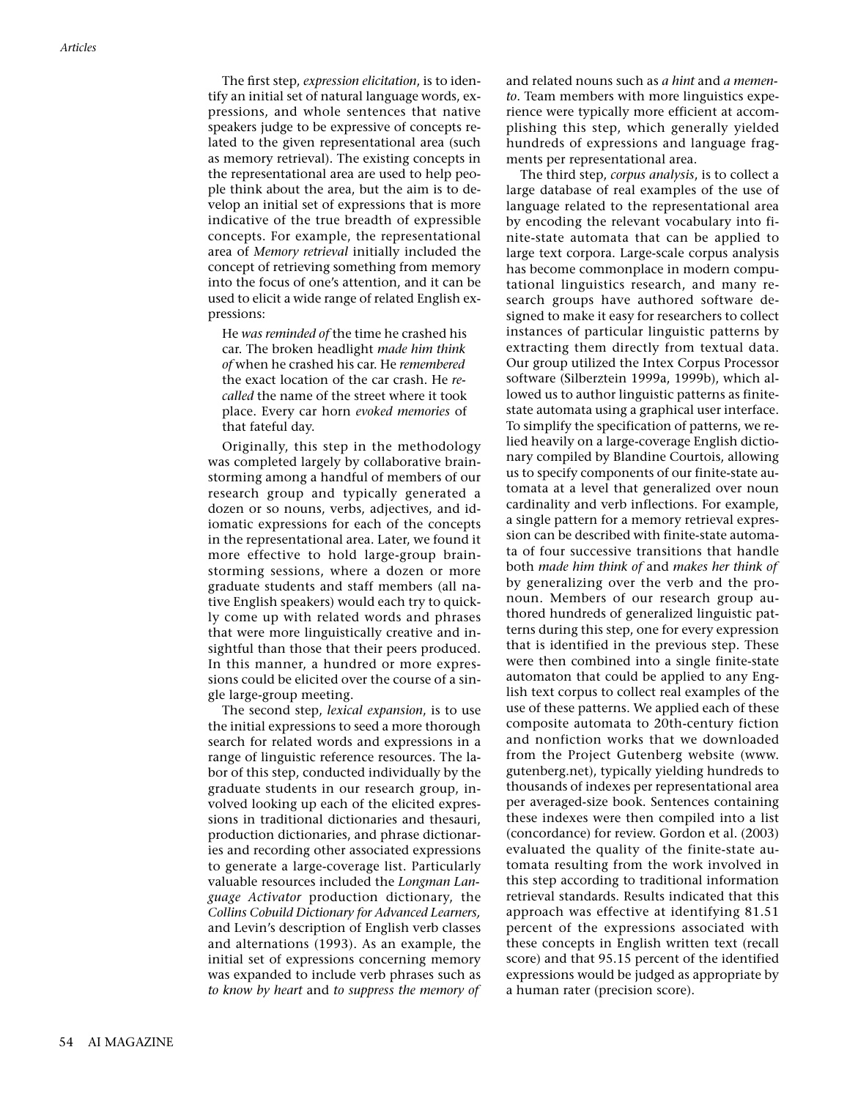The first step, *expression elicitation*, is to identify an initial set of natural language words, expressions, and whole sentences that native speakers judge to be expressive of concepts related to the given representational area (such as memory retrieval). The existing concepts in the representational area are used to help people think about the area, but the aim is to develop an initial set of expressions that is more indicative of the true breadth of expressible concepts. For example, the representational area of *Memory retrieval* initially included the concept of retrieving something from memory into the focus of one's attention, and it can be used to elicit a wide range of related English expressions:

He *was reminded of* the time he crashed his car. The broken headlight *made him think of* when he crashed his car. He *remembered* the exact location of the car crash. He *recalled* the name of the street where it took place. Every car horn *evoked memories* of that fateful day.

Originally, this step in the methodology was completed largely by collaborative brainstorming among a handful of members of our research group and typically generated a dozen or so nouns, verbs, adjectives, and idiomatic expressions for each of the concepts in the representational area. Later, we found it more effective to hold large-group brainstorming sessions, where a dozen or more graduate students and staff members (all native English speakers) would each try to quickly come up with related words and phrases that were more linguistically creative and insightful than those that their peers produced. In this manner, a hundred or more expressions could be elicited over the course of a single large-group meeting.

The second step, *lexical expansion*, is to use the initial expressions to seed a more thorough search for related words and expressions in a range of linguistic reference resources. The labor of this step, conducted individually by the graduate students in our research group, involved looking up each of the elicited expressions in traditional dictionaries and thesauri, production dictionaries, and phrase dictionaries and recording other associated expressions to generate a large-coverage list. Particularly valuable resources included the *Longman Language Activator* production dictionary, the *Collins Cobuild Dictionary for Advanced Learners,* and Levin's description of English verb classes and alternations (1993). As an example, the initial set of expressions concerning memory was expanded to include verb phrases such as *to know by heart* and *to suppress the memory of* and related nouns such as *a hint* and *a memento*. Team members with more linguistics experience were typically more efficient at accomplishing this step, which generally yielded hundreds of expressions and language fragments per representational area.

The third step, *corpus analysis*, is to collect a large database of real examples of the use of language related to the representational area by encoding the relevant vocabulary into finite-state automata that can be applied to large text corpora. Large-scale corpus analysis has become commonplace in modern computational linguistics research, and many research groups have authored software designed to make it easy for researchers to collect instances of particular linguistic patterns by extracting them directly from textual data. Our group utilized the Intex Corpus Processor software (Silberztein 1999a, 1999b), which allowed us to author linguistic patterns as finitestate automata using a graphical user interface. To simplify the specification of patterns, we relied heavily on a large-coverage English dictionary compiled by Blandine Courtois, allowing us to specify components of our finite-state automata at a level that generalized over noun cardinality and verb inflections. For example, a single pattern for a memory retrieval expression can be described with finite-state automata of four successive transitions that handle both *made him think of* and *makes her think of* by generalizing over the verb and the pronoun. Members of our research group authored hundreds of generalized linguistic patterns during this step, one for every expression that is identified in the previous step. These were then combined into a single finite-state automaton that could be applied to any English text corpus to collect real examples of the use of these patterns. We applied each of these composite automata to 20th-century fiction and nonfiction works that we downloaded from the Project Gutenberg website (www. gutenberg.net), typically yielding hundreds to thousands of indexes per representational area per averaged-size book. Sentences containing these indexes were then compiled into a list (concordance) for review. Gordon et al. (2003) evaluated the quality of the finite-state automata resulting from the work involved in this step according to traditional information retrieval standards. Results indicated that this approach was effective at identifying 81.51 percent of the expressions associated with these concepts in English written text (recall score) and that 95.15 percent of the identified expressions would be judged as appropriate by a human rater (precision score).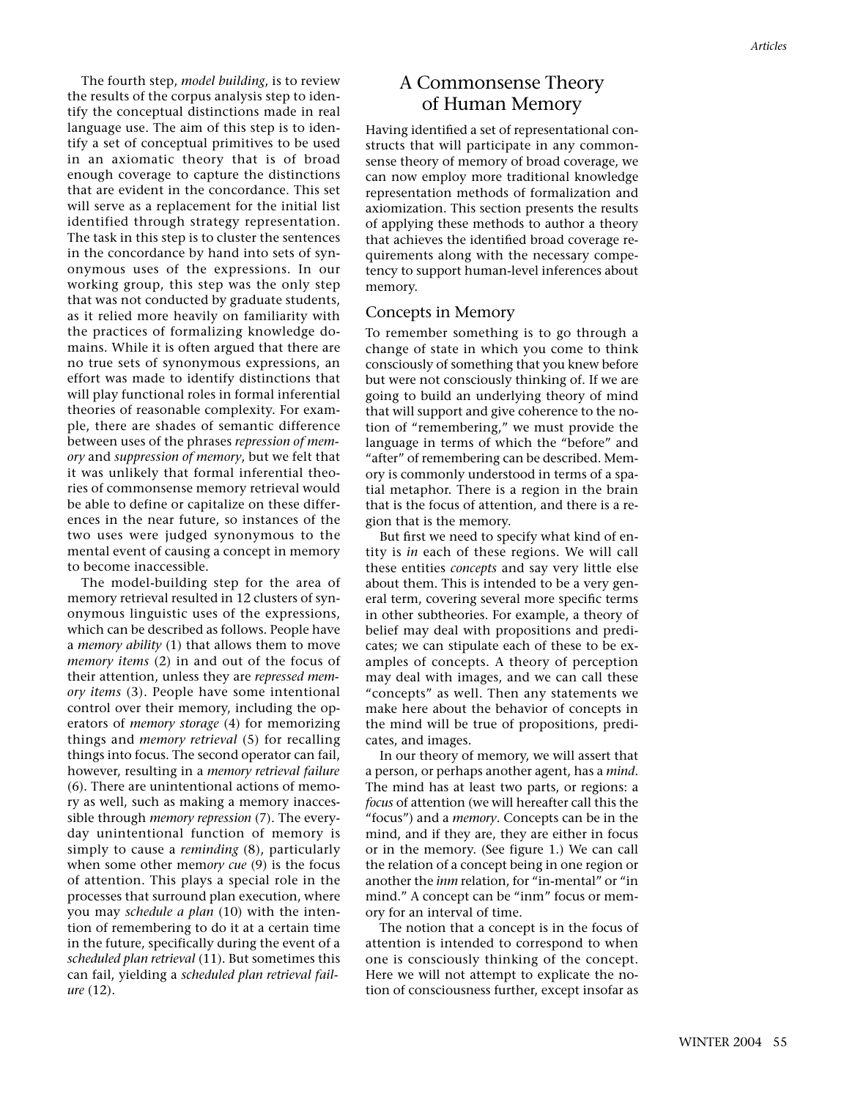The fourth step, *model building*, is to review the results of the corpus analysis step to identify the conceptual distinctions made in real language use. The aim of this step is to identify a set of conceptual primitives to be used in an axiomatic theory that is of broad enough coverage to capture the distinctions that are evident in the concordance. This set will serve as a replacement for the initial list identified through strategy representation. The task in this step is to cluster the sentences in the concordance by hand into sets of synonymous uses of the expressions. In our working group, this step was the only step that was not conducted by graduate students, as it relied more heavily on familiarity with the practices of formalizing knowledge domains. While it is often argued that there are no true sets of synonymous expressions, an effort was made to identify distinctions that will play functional roles in formal inferential theories of reasonable complexity. For example, there are shades of semantic difference between uses of the phrases *repression of memory* and *suppression of memory*, but we felt that it was unlikely that formal inferential theories of commonsense memory retrieval would be able to define or capitalize on these differences in the near future, so instances of the two uses were judged synonymous to the mental event of causing a concept in memory to become inaccessible.

The model-building step for the area of memory retrieval resulted in 12 clusters of synonymous linguistic uses of the expressions, which can be described as follows. People have a *memory ability* (1) that allows them to move *memory items* (2) in and out of the focus of their attention, unless they are *repressed memory items* (3). People have some intentional control over their memory, including the operators of *memory storage* (4) for memorizing things and *memory retrieval* (5) for recalling things into focus. The second operator can fail, however, resulting in a *memory retrieval failure* (6). There are unintentional actions of memory as well, such as making a memory inaccessible through *memory repression* (7). The everyday unintentional function of memory is simply to cause a *reminding* (8), particularly when some other mem*ory cue* (9) is the focus of attention. This plays a special role in the processes that surround plan execution, where you may *schedule a plan* (10) with the intention of remembering to do it at a certain time in the future, specifically during the event of a *scheduled plan retrieval* (11). But sometimes this can fail, yielding a *scheduled plan retrieval failure* (12).

# A Commonsense Theory of Human Memory

Having identified a set of representational constructs that will participate in any commonsense theory of memory of broad coverage, we can now employ more traditional knowledge representation methods of formalization and axiomization. This section presents the results of applying these methods to author a theory that achieves the identified broad coverage requirements along with the necessary competency to support human-level inferences about memory.

### Concepts in Memory

To remember something is to go through a change of state in which you come to think consciously of something that you knew before but were not consciously thinking of. If we are going to build an underlying theory of mind that will support and give coherence to the notion of "remembering," we must provide the language in terms of which the "before" and "after" of remembering can be described. Memory is commonly understood in terms of a spatial metaphor. There is a region in the brain that is the focus of attention, and there is a region that is the memory.

But first we need to specify what kind of entity is *in* each of these regions. We will call these entities *concepts* and say very little else about them. This is intended to be a very general term, covering several more specific terms in other subtheories. For example, a theory of belief may deal with propositions and predicates; we can stipulate each of these to be examples of concepts. A theory of perception may deal with images, and we can call these "concepts" as well. Then any statements we make here about the behavior of concepts in the mind will be true of propositions, predicates, and images.

In our theory of memory, we will assert that a person, or perhaps another agent, has a *mind*. The mind has at least two parts, or regions: a *focus* of attention (we will hereafter call this the "focus") and a *memory*. Concepts can be in the mind, and if they are, they are either in focus or in the memory. (See figure 1.) We can call the relation of a concept being in one region or another the *inm* relation, for "in-mental" or "in mind." A concept can be "inm" focus or memory for an interval of time.

The notion that a concept is in the focus of attention is intended to correspond to when one is consciously thinking of the concept. Here we will not attempt to explicate the notion of consciousness further, except insofar as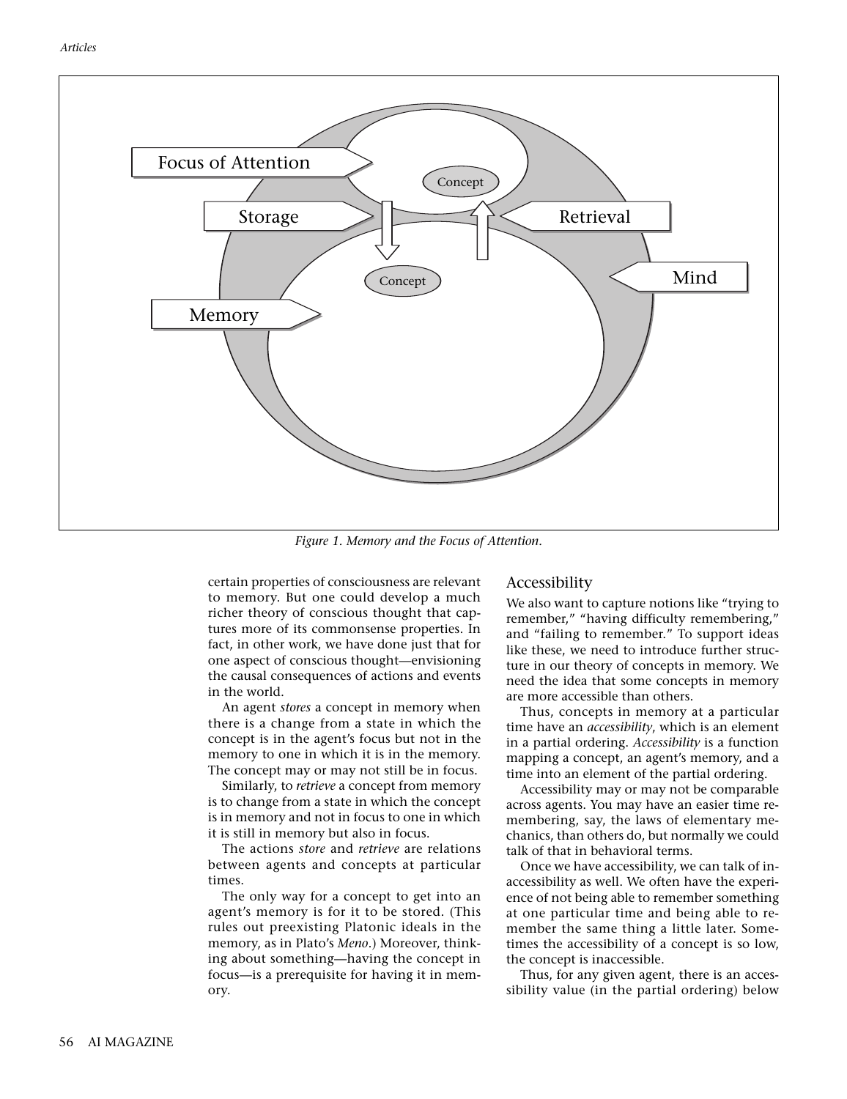

*Figure 1. Memory and the Focus of Attention.*

certain properties of consciousness are relevant to memory. But one could develop a much richer theory of conscious thought that captures more of its commonsense properties. In fact, in other work, we have done just that for one aspect of conscious thought—envisioning the causal consequences of actions and events in the world.

An agent *stores* a concept in memory when there is a change from a state in which the concept is in the agent's focus but not in the memory to one in which it is in the memory. The concept may or may not still be in focus.

Similarly, to *retrieve* a concept from memory is to change from a state in which the concept is in memory and not in focus to one in which it is still in memory but also in focus.

The actions *store* and *retrieve* are relations between agents and concepts at particular times.

The only way for a concept to get into an agent's memory is for it to be stored. (This rules out preexisting Platonic ideals in the memory, as in Plato's *Meno*.) Moreover, thinking about something—having the concept in focus—is a prerequisite for having it in memory.

## Accessibility

We also want to capture notions like "trying to remember," "having difficulty remembering," and "failing to remember." To support ideas like these, we need to introduce further structure in our theory of concepts in memory. We need the idea that some concepts in memory are more accessible than others.

Thus, concepts in memory at a particular time have an *accessibility*, which is an element in a partial ordering. *Accessibility* is a function mapping a concept, an agent's memory, and a time into an element of the partial ordering.

Accessibility may or may not be comparable across agents. You may have an easier time remembering, say, the laws of elementary mechanics, than others do, but normally we could talk of that in behavioral terms.

Once we have accessibility, we can talk of inaccessibility as well. We often have the experience of not being able to remember something at one particular time and being able to remember the same thing a little later. Sometimes the accessibility of a concept is so low, the concept is inaccessible.

Thus, for any given agent, there is an accessibility value (in the partial ordering) below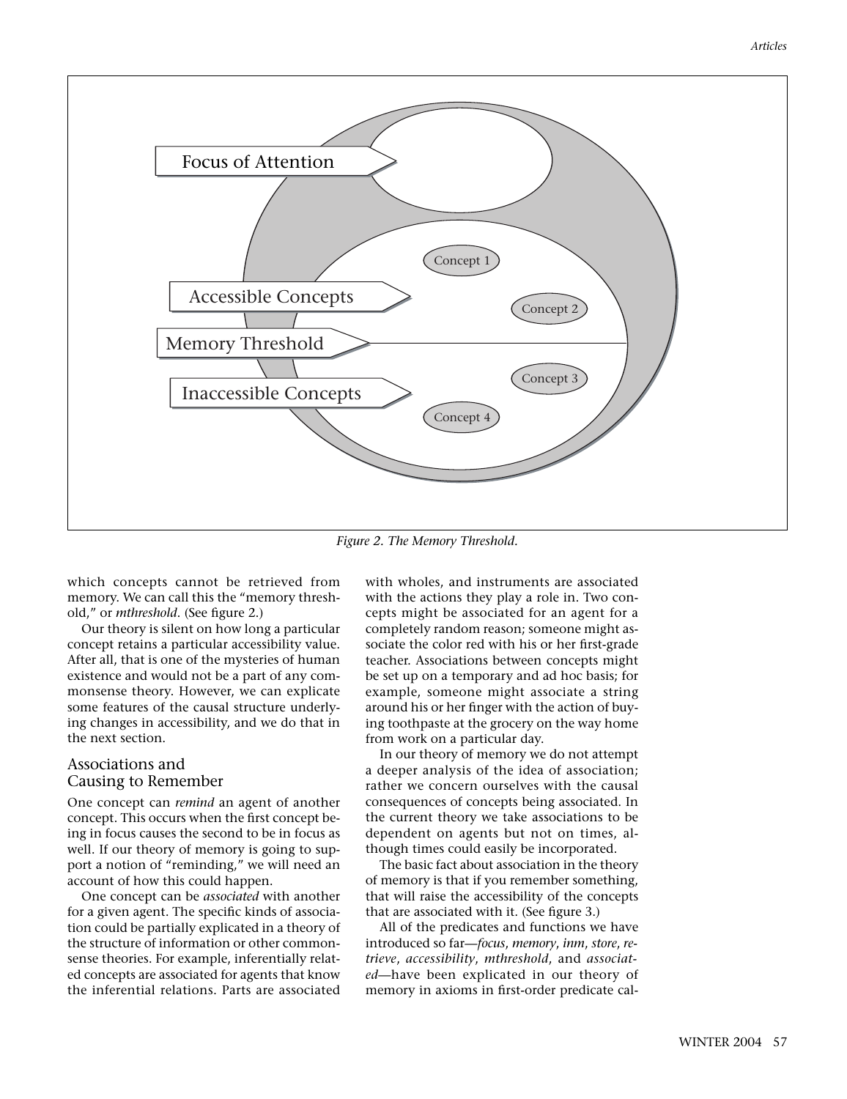

*Figure 2. The Memory Threshold.*

which concepts cannot be retrieved from memory. We can call this the "memory threshold," or *mthreshold*. (See figure 2.)

Our theory is silent on how long a particular concept retains a particular accessibility value. After all, that is one of the mysteries of human existence and would not be a part of any commonsense theory. However, we can explicate some features of the causal structure underlying changes in accessibility, and we do that in the next section.

## Associations and Causing to Remember

One concept can *remind* an agent of another concept. This occurs when the first concept being in focus causes the second to be in focus as well. If our theory of memory is going to support a notion of "reminding," we will need an account of how this could happen.

One concept can be *associated* with another for a given agent. The specific kinds of association could be partially explicated in a theory of the structure of information or other commonsense theories. For example, inferentially related concepts are associated for agents that know the inferential relations. Parts are associated with wholes, and instruments are associated with the actions they play a role in. Two concepts might be associated for an agent for a completely random reason; someone might associate the color red with his or her first-grade teacher. Associations between concepts might be set up on a temporary and ad hoc basis; for example, someone might associate a string around his or her finger with the action of buying toothpaste at the grocery on the way home from work on a particular day.

In our theory of memory we do not attempt a deeper analysis of the idea of association; rather we concern ourselves with the causal consequences of concepts being associated. In the current theory we take associations to be dependent on agents but not on times, although times could easily be incorporated.

The basic fact about association in the theory of memory is that if you remember something, that will raise the accessibility of the concepts that are associated with it. (See figure 3.)

All of the predicates and functions we have introduced so far—*focus*, *memory*, *inm*, *store*, *retrieve*, *accessibility*, *mthreshold*, and *associated*—have been explicated in our theory of memory in axioms in first-order predicate cal-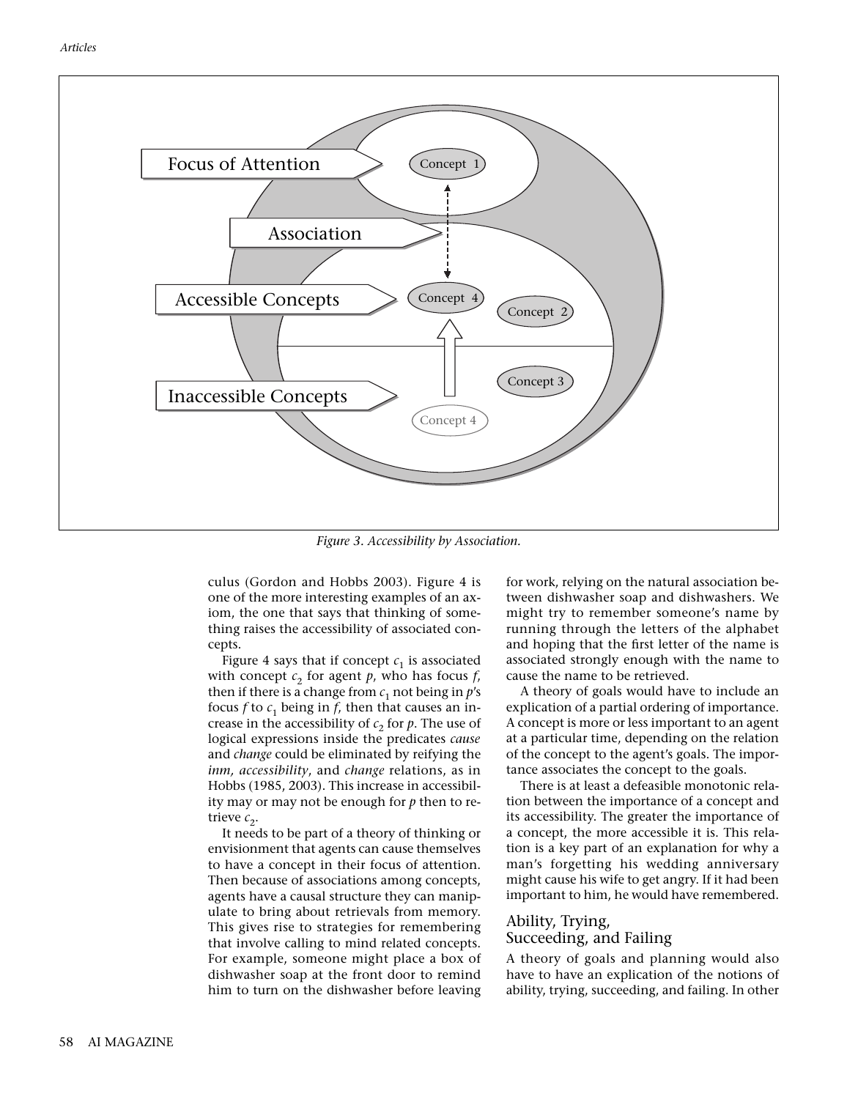

*Figure 3. Accessibility by Association.*

culus (Gordon and Hobbs 2003). Figure 4 is one of the more interesting examples of an axiom, the one that says that thinking of something raises the accessibility of associated concepts.

Figure 4 says that if concept  $c_1$  is associated with concept  $c_2$  for agent  $p$ , who has focus  $f$ , then if there is a change from  $c_1$  not being in  $p$ 's focus  $f$  to  $c_1$  being in  $f$ , then that causes an increase in the accessibility of  $c_2$  for  $p$ . The use of logical expressions inside the predicates *cause* and *change* could be eliminated by reifying the *inm, accessibility*, and *change* relations, as in Hobbs (1985, 2003). This increase in accessibility may or may not be enough for *p* then to retrieve  $c_2$ .

It needs to be part of a theory of thinking or envisionment that agents can cause themselves to have a concept in their focus of attention. Then because of associations among concepts, agents have a causal structure they can manipulate to bring about retrievals from memory. This gives rise to strategies for remembering that involve calling to mind related concepts. For example, someone might place a box of dishwasher soap at the front door to remind him to turn on the dishwasher before leaving for work, relying on the natural association between dishwasher soap and dishwashers. We might try to remember someone's name by running through the letters of the alphabet and hoping that the first letter of the name is associated strongly enough with the name to cause the name to be retrieved.

A theory of goals would have to include an explication of a partial ordering of importance. A concept is more or less important to an agent at a particular time, depending on the relation of the concept to the agent's goals. The importance associates the concept to the goals.

There is at least a defeasible monotonic relation between the importance of a concept and its accessibility. The greater the importance of a concept, the more accessible it is. This relation is a key part of an explanation for why a man's forgetting his wedding anniversary might cause his wife to get angry. If it had been important to him, he would have remembered.

## Ability, Trying, Succeeding, and Failing

A theory of goals and planning would also have to have an explication of the notions of ability, trying, succeeding, and failing. In other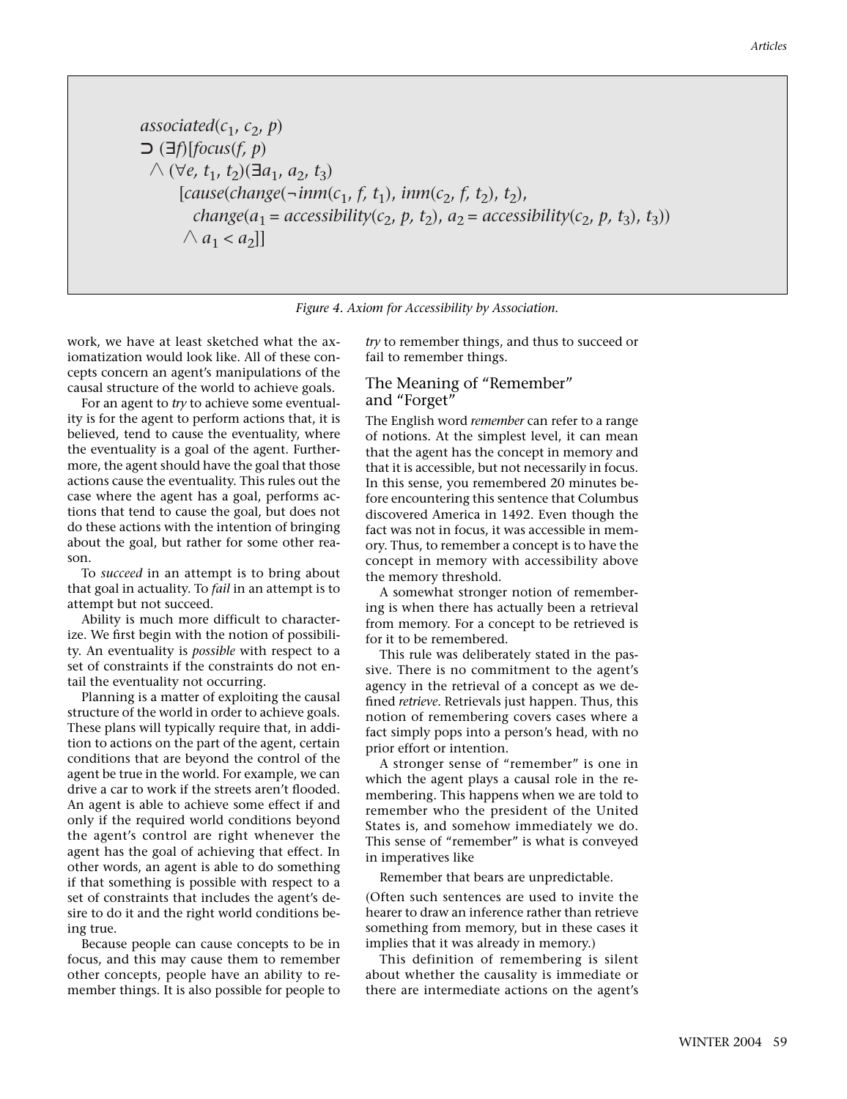associated(
$$
c_1
$$
,  $c_2$ ,  $p$ )  
\n
$$
\bigcirc (\exists f)[focus(f, p)
$$
  
\n
$$
\bigcirc (\forall e, t_1, t_2)(\exists a_1, a_2, t_3)
$$
  
\n[cause(change(−*imm*( $c_1$ ,  $f$ ,  $t_1$ ), *imm*( $c_2$ ,  $f$ ,  $t_2$ ),  $t_2$ ),  
\n
$$
change(a_1 = accessibility(c_2, p, t_2), a_2 = accessibility(c_2, p, t_3), t_3))
$$
  
\n
$$
\bigwedge a_1 < a_2]]
$$

*Figure 4. Axiom for Accessibility by Association.*

work, we have at least sketched what the axiomatization would look like. All of these concepts concern an agent's manipulations of the causal structure of the world to achieve goals.

For an agent to *try* to achieve some eventuality is for the agent to perform actions that, it is believed, tend to cause the eventuality, where the eventuality is a goal of the agent. Furthermore, the agent should have the goal that those actions cause the eventuality. This rules out the case where the agent has a goal, performs actions that tend to cause the goal, but does not do these actions with the intention of bringing about the goal, but rather for some other reason.

To *succeed* in an attempt is to bring about that goal in actuality. To *fail* in an attempt is to attempt but not succeed.

Ability is much more difficult to characterize. We first begin with the notion of possibility. An eventuality is *possible* with respect to a set of constraints if the constraints do not entail the eventuality not occurring.

Planning is a matter of exploiting the causal structure of the world in order to achieve goals. These plans will typically require that, in addition to actions on the part of the agent, certain conditions that are beyond the control of the agent be true in the world. For example, we can drive a car to work if the streets aren't flooded. An agent is able to achieve some effect if and only if the required world conditions beyond the agent's control are right whenever the agent has the goal of achieving that effect. In other words, an agent is able to do something if that something is possible with respect to a set of constraints that includes the agent's desire to do it and the right world conditions being true.

Because people can cause concepts to be in focus, and this may cause them to remember other concepts, people have an ability to remember things. It is also possible for people to *try* to remember things, and thus to succeed or fail to remember things.

## The Meaning of "Remember" and "Forget"

The English word *remember* can refer to a range of notions. At the simplest level, it can mean that the agent has the concept in memory and that it is accessible, but not necessarily in focus. In this sense, you remembered 20 minutes before encountering this sentence that Columbus discovered America in 1492. Even though the fact was not in focus, it was accessible in memory. Thus, to remember a concept is to have the concept in memory with accessibility above the memory threshold.

A somewhat stronger notion of remembering is when there has actually been a retrieval from memory. For a concept to be retrieved is for it to be remembered.

This rule was deliberately stated in the passive. There is no commitment to the agent's agency in the retrieval of a concept as we defined *retrieve*. Retrievals just happen. Thus, this notion of remembering covers cases where a fact simply pops into a person's head, with no prior effort or intention.

A stronger sense of "remember" is one in which the agent plays a causal role in the remembering. This happens when we are told to remember who the president of the United States is, and somehow immediately we do. This sense of "remember" is what is conveyed in imperatives like

Remember that bears are unpredictable.

(Often such sentences are used to invite the hearer to draw an inference rather than retrieve something from memory, but in these cases it implies that it was already in memory.)

This definition of remembering is silent about whether the causality is immediate or there are intermediate actions on the agent's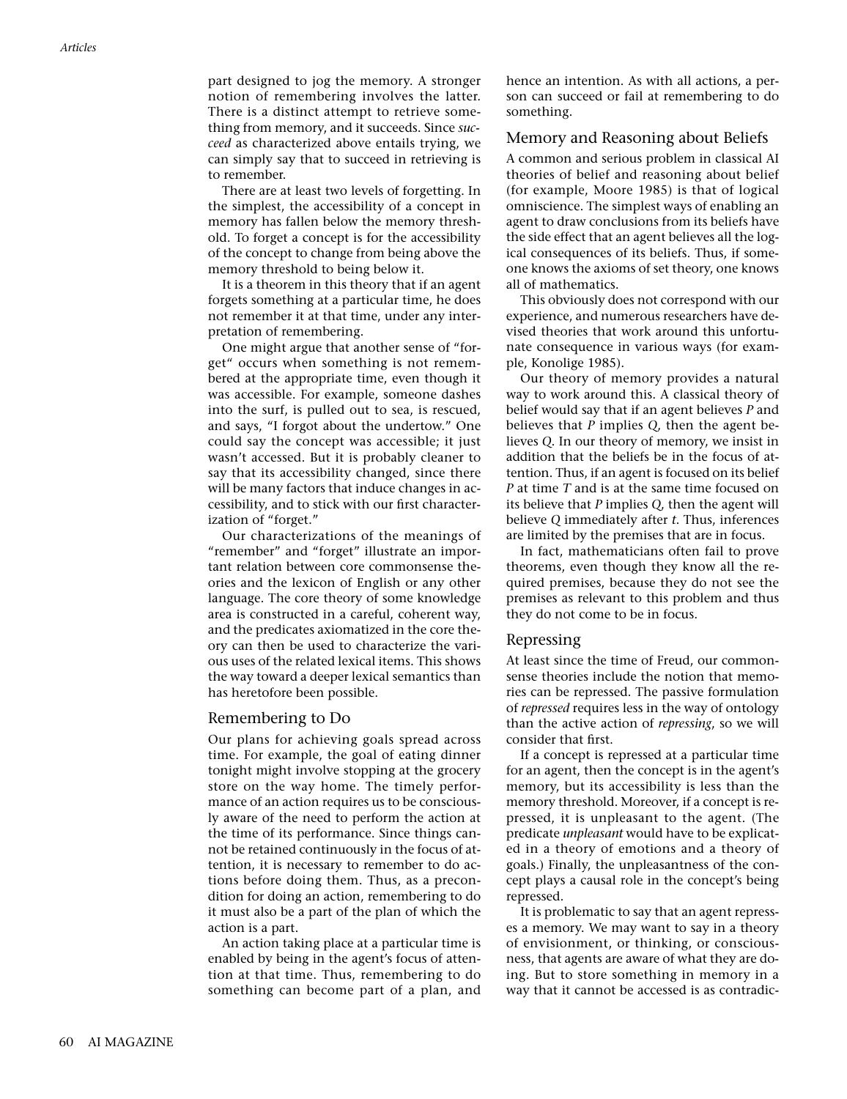part designed to jog the memory. A stronger notion of remembering involves the latter. There is a distinct attempt to retrieve something from memory, and it succeeds. Since *succeed* as characterized above entails trying, we can simply say that to succeed in retrieving is to remember.

There are at least two levels of forgetting. In the simplest, the accessibility of a concept in memory has fallen below the memory threshold. To forget a concept is for the accessibility of the concept to change from being above the memory threshold to being below it.

It is a theorem in this theory that if an agent forgets something at a particular time, he does not remember it at that time, under any interpretation of remembering.

One might argue that another sense of "forget" occurs when something is not remembered at the appropriate time, even though it was accessible. For example, someone dashes into the surf, is pulled out to sea, is rescued, and says, "I forgot about the undertow." One could say the concept was accessible; it just wasn't accessed. But it is probably cleaner to say that its accessibility changed, since there will be many factors that induce changes in accessibility, and to stick with our first characterization of "forget."

Our characterizations of the meanings of "remember" and "forget" illustrate an important relation between core commonsense theories and the lexicon of English or any other language. The core theory of some knowledge area is constructed in a careful, coherent way, and the predicates axiomatized in the core theory can then be used to characterize the various uses of the related lexical items. This shows the way toward a deeper lexical semantics than has heretofore been possible.

#### Remembering to Do

Our plans for achieving goals spread across time. For example, the goal of eating dinner tonight might involve stopping at the grocery store on the way home. The timely performance of an action requires us to be consciously aware of the need to perform the action at the time of its performance. Since things cannot be retained continuously in the focus of attention, it is necessary to remember to do actions before doing them. Thus, as a precondition for doing an action, remembering to do it must also be a part of the plan of which the action is a part.

An action taking place at a particular time is enabled by being in the agent's focus of attention at that time. Thus, remembering to do something can become part of a plan, and hence an intention. As with all actions, a person can succeed or fail at remembering to do something.

#### Memory and Reasoning about Beliefs

A common and serious problem in classical AI theories of belief and reasoning about belief (for example, Moore 1985) is that of logical omniscience. The simplest ways of enabling an agent to draw conclusions from its beliefs have the side effect that an agent believes all the logical consequences of its beliefs. Thus, if someone knows the axioms of set theory, one knows all of mathematics.

This obviously does not correspond with our experience, and numerous researchers have devised theories that work around this unfortunate consequence in various ways (for example, Konolige 1985).

Our theory of memory provides a natural way to work around this. A classical theory of belief would say that if an agent believes *P* and believes that *P* implies *Q*, then the agent believes *Q*. In our theory of memory, we insist in addition that the beliefs be in the focus of attention. Thus, if an agent is focused on its belief *P* at time *T* and is at the same time focused on its believe that *P* implies *Q*, then the agent will believe *Q* immediately after *t*. Thus, inferences are limited by the premises that are in focus.

In fact, mathematicians often fail to prove theorems, even though they know all the required premises, because they do not see the premises as relevant to this problem and thus they do not come to be in focus.

#### Repressing

At least since the time of Freud, our commonsense theories include the notion that memories can be repressed. The passive formulation of *repressed* requires less in the way of ontology than the active action of *repressing*, so we will consider that first.

If a concept is repressed at a particular time for an agent, then the concept is in the agent's memory, but its accessibility is less than the memory threshold. Moreover, if a concept is repressed, it is unpleasant to the agent. (The predicate *unpleasant* would have to be explicated in a theory of emotions and a theory of goals.) Finally, the unpleasantness of the concept plays a causal role in the concept's being repressed.

It is problematic to say that an agent represses a memory. We may want to say in a theory of envisionment, or thinking, or consciousness, that agents are aware of what they are doing. But to store something in memory in a way that it cannot be accessed is as contradic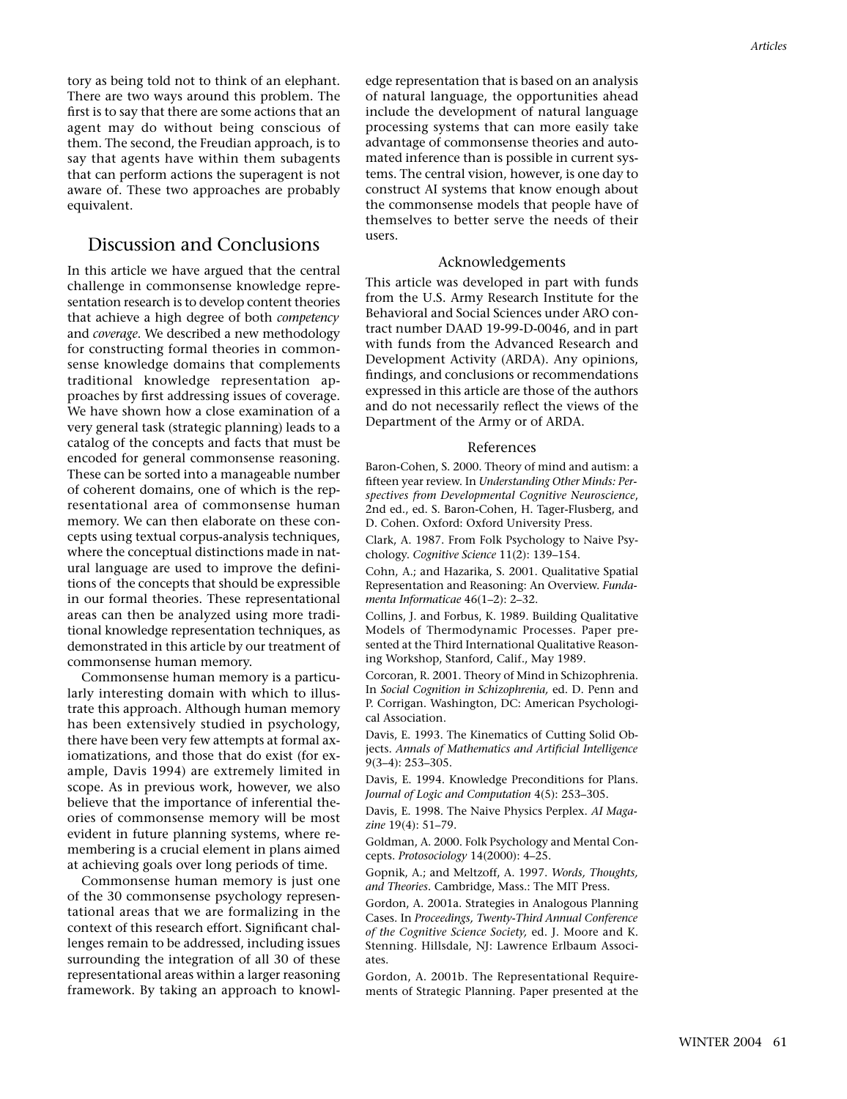tory as being told not to think of an elephant. There are two ways around this problem. The first is to say that there are some actions that an agent may do without being conscious of them. The second, the Freudian approach, is to say that agents have within them subagents that can perform actions the superagent is not aware of. These two approaches are probably equivalent.

## Discussion and Conclusions

In this article we have argued that the central challenge in commonsense knowledge representation research is to develop content theories that achieve a high degree of both *competency* and *coverage*. We described a new methodology for constructing formal theories in commonsense knowledge domains that complements traditional knowledge representation approaches by first addressing issues of coverage. We have shown how a close examination of a very general task (strategic planning) leads to a catalog of the concepts and facts that must be encoded for general commonsense reasoning. These can be sorted into a manageable number of coherent domains, one of which is the representational area of commonsense human memory. We can then elaborate on these concepts using textual corpus-analysis techniques, where the conceptual distinctions made in natural language are used to improve the definitions of the concepts that should be expressible in our formal theories. These representational areas can then be analyzed using more traditional knowledge representation techniques, as demonstrated in this article by our treatment of commonsense human memory.

Commonsense human memory is a particularly interesting domain with which to illustrate this approach. Although human memory has been extensively studied in psychology, there have been very few attempts at formal axiomatizations, and those that do exist (for example, Davis 1994) are extremely limited in scope. As in previous work, however, we also believe that the importance of inferential theories of commonsense memory will be most evident in future planning systems, where remembering is a crucial element in plans aimed at achieving goals over long periods of time.

Commonsense human memory is just one of the 30 commonsense psychology representational areas that we are formalizing in the context of this research effort. Significant challenges remain to be addressed, including issues surrounding the integration of all 30 of these representational areas within a larger reasoning framework. By taking an approach to knowledge representation that is based on an analysis of natural language, the opportunities ahead include the development of natural language processing systems that can more easily take advantage of commonsense theories and automated inference than is possible in current systems. The central vision, however, is one day to construct AI systems that know enough about the commonsense models that people have of themselves to better serve the needs of their users.

## Acknowledgements

This article was developed in part with funds from the U.S. Army Research Institute for the Behavioral and Social Sciences under ARO contract number DAAD 19-99-D-0046, and in part with funds from the Advanced Research and Development Activity (ARDA). Any opinions, findings, and conclusions or recommendations expressed in this article are those of the authors and do not necessarily reflect the views of the Department of the Army or of ARDA.

#### References

Baron-Cohen, S. 2000. Theory of mind and autism: a fifteen year review. In *Understanding Other Minds: Perspectives from Developmental Cognitive Neuroscience*, 2nd ed., ed. S. Baron-Cohen, H. Tager-Flusberg, and D. Cohen. Oxford: Oxford University Press.

Clark, A. 1987. From Folk Psychology to Naive Psychology. *Cognitive Science* 11(2): 139–154.

Cohn, A.; and Hazarika, S. 2001. Qualitative Spatial Representation and Reasoning: An Overview. *Fundamenta Informaticae* 46(1–2): 2–32.

Collins, J. and Forbus, K. 1989. Building Qualitative Models of Thermodynamic Processes. Paper presented at the Third International Qualitative Reasoning Workshop, Stanford, Calif., May 1989.

Corcoran, R. 2001. Theory of Mind in Schizophrenia. In *Social Cognition in Schizophrenia,* ed. D. Penn and P. Corrigan. Washington, DC: American Psychological Association.

Davis, E. 1993. The Kinematics of Cutting Solid Objects. *Annals of Mathematics and Artificial Intelligence* 9(3–4): 253–305.

Davis, E. 1994. Knowledge Preconditions for Plans. *Journal of Logic and Computation* 4(5): 253–305.

Davis, E. 1998. The Naive Physics Perplex. *AI Magazine* 19(4): 51–79.

Goldman, A. 2000. Folk Psychology and Mental Concepts. *Protosociology* 14(2000): 4–25.

Gopnik, A.; and Meltzoff, A. 1997. *Words, Thoughts, and Theories.* Cambridge, Mass.: The MIT Press.

Gordon, A. 2001a. Strategies in Analogous Planning Cases. In *Proceedings, Twenty-Third Annual Conference of the Cognitive Science Society,* ed. J. Moore and K. Stenning. Hillsdale, NJ: Lawrence Erlbaum Associates.

Gordon, A. 2001b. The Representational Requirements of Strategic Planning. Paper presented at the